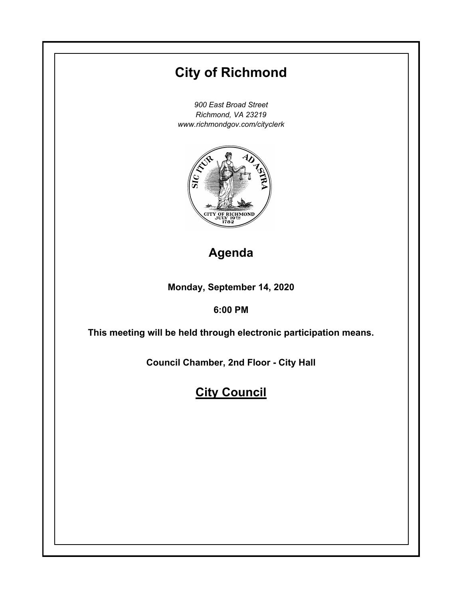# **City of Richmond**

*900 East Broad Street Richmond, VA 23219 www.richmondgov.com/cityclerk*



# **Agenda**

**Monday, September 14, 2020**

# **6:00 PM**

**This meeting will be held through electronic participation means.**

**Council Chamber, 2nd Floor - City Hall**

# **City Council**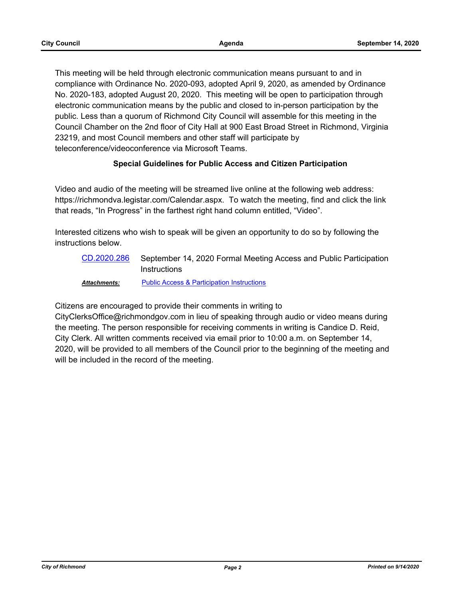This meeting will be held through electronic communication means pursuant to and in compliance with Ordinance No. 2020-093, adopted April 9, 2020, as amended by Ordinance No. 2020-183, adopted August 20, 2020. This meeting will be open to participation through electronic communication means by the public and closed to in-person participation by the public. Less than a quorum of Richmond City Council will assemble for this meeting in the Council Chamber on the 2nd floor of City Hall at 900 East Broad Street in Richmond, Virginia 23219, and most Council members and other staff will participate by teleconference/videoconference via Microsoft Teams.

## **Special Guidelines for Public Access and Citizen Participation**

Video and audio of the meeting will be streamed live online at the following web address: https://richmondva.legistar.com/Calendar.aspx. To watch the meeting, find and click the link that reads, "In Progress" in the farthest right hand column entitled, "Video".

Interested citizens who wish to speak will be given an opportunity to do so by following the instructions below.

September 14, 2020 Formal Meeting Access and Public Participation **Instructions** [CD.2020.286](http://richmondva.legistar.com/gateway.aspx?m=l&id=/matter.aspx?key=28249)

## *Attachments:* [Public Access & Participation Instructions](http://richmondva.legistar.com/gateway.aspx?M=F&ID=2b9c59f2-80cf-4c5d-9eef-49557e0a27f5.pdf)

Citizens are encouraged to provide their comments in writing to

CityClerksOffice@richmondgov.com in lieu of speaking through audio or video means during the meeting. The person responsible for receiving comments in writing is Candice D. Reid, City Clerk. All written comments received via email prior to 10:00 a.m. on September 14, 2020, will be provided to all members of the Council prior to the beginning of the meeting and will be included in the record of the meeting.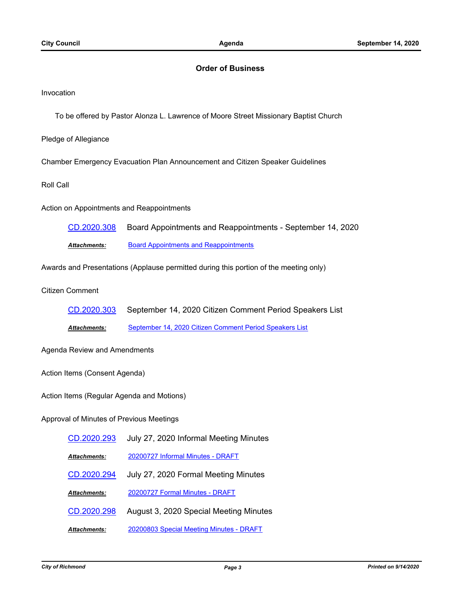#### **Order of Business**

Invocation

To be offered by Pastor Alonza L. Lawrence of Moore Street Missionary Baptist Church

Pledge of Allegiance

Chamber Emergency Evacuation Plan Announcement and Citizen Speaker Guidelines

Roll Call

Action on Appointments and Reappointments

[CD.2020.308](http://richmondva.legistar.com/gateway.aspx?m=l&id=/matter.aspx?key=28302) Board Appointments and Reappointments - September 14, 2020 *Attachments:* [Board Appointments and Reappointments](http://richmondva.legistar.com/gateway.aspx?M=F&ID=580227a8-f3c4-42f3-bb18-cd34d3ce0290.pdf)

Awards and Presentations (Applause permitted during this portion of the meeting only)

Citizen Comment

[CD.2020.303](http://richmondva.legistar.com/gateway.aspx?m=l&id=/matter.aspx?key=28296) September 14, 2020 Citizen Comment Period Speakers List

*Attachments:* [September 14, 2020 Citizen Comment Period Speakers List](http://richmondva.legistar.com/gateway.aspx?M=F&ID=342d62d3-fcb9-4659-91ab-ab404ba9bf67.pdf)

Agenda Review and Amendments

Action Items (Consent Agenda)

Action Items (Regular Agenda and Motions)

Approval of Minutes of Previous Meetings

| CD.2020.293         | July 27, 2020 Informal Meeting Minutes |
|---------------------|----------------------------------------|
| <b>Attachments:</b> | 20200727 Informal Minutes - DRAFT      |
| CD.2020.294         | July 27, 2020 Formal Meeting Minutes   |
| <b>Attachments:</b> | 20200727 Formal Minutes - DRAFT        |
|                     |                                        |
| CD.2020.298         | August 3, 2020 Special Meeting Minutes |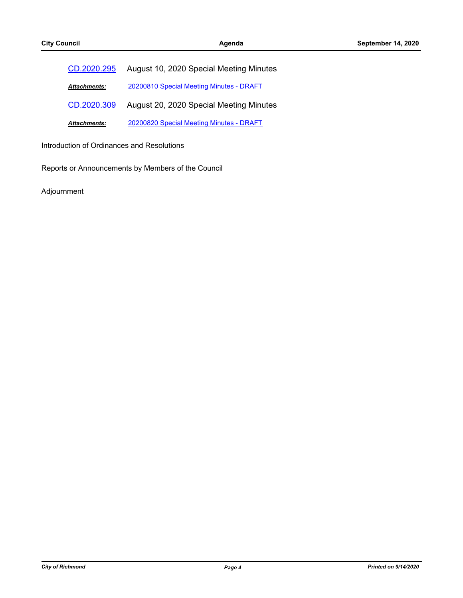| CD.2020.295         | August 10, 2020 Special Meeting Minutes  |
|---------------------|------------------------------------------|
| <b>Attachments:</b> | 20200810 Special Meeting Minutes - DRAFT |
| CD.2020.309         | August 20, 2020 Special Meeting Minutes  |
| <b>Attachments:</b> | 20200820 Special Meeting Minutes - DRAFT |

Introduction of Ordinances and Resolutions

Reports or Announcements by Members of the Council

Adjournment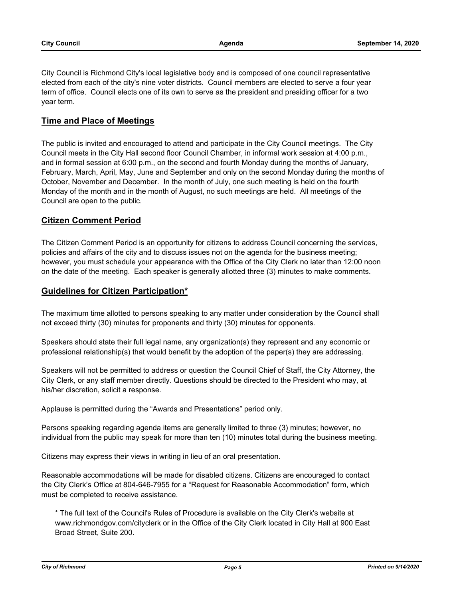City Council is Richmond City's local legislative body and is composed of one council representative elected from each of the city's nine voter districts. Council members are elected to serve a four year term of office. Council elects one of its own to serve as the president and presiding officer for a two year term.

## **Time and Place of Meetings**

The public is invited and encouraged to attend and participate in the City Council meetings. The City Council meets in the City Hall second floor Council Chamber, in informal work session at 4:00 p.m., and in formal session at 6:00 p.m., on the second and fourth Monday during the months of January, February, March, April, May, June and September and only on the second Monday during the months of October, November and December. In the month of July, one such meeting is held on the fourth Monday of the month and in the month of August, no such meetings are held. All meetings of the Council are open to the public.

# **Citizen Comment Period**

The Citizen Comment Period is an opportunity for citizens to address Council concerning the services, policies and affairs of the city and to discuss issues not on the agenda for the business meeting; however, you must schedule your appearance with the Office of the City Clerk no later than 12:00 noon on the date of the meeting. Each speaker is generally allotted three (3) minutes to make comments.

## **Guidelines for Citizen Participation\***

The maximum time allotted to persons speaking to any matter under consideration by the Council shall not exceed thirty (30) minutes for proponents and thirty (30) minutes for opponents.

Speakers should state their full legal name, any organization(s) they represent and any economic or professional relationship(s) that would benefit by the adoption of the paper(s) they are addressing.

Speakers will not be permitted to address or question the Council Chief of Staff, the City Attorney, the City Clerk, or any staff member directly. Questions should be directed to the President who may, at his/her discretion, solicit a response.

Applause is permitted during the "Awards and Presentations" period only.

Persons speaking regarding agenda items are generally limited to three (3) minutes; however, no individual from the public may speak for more than ten (10) minutes total during the business meeting.

Citizens may express their views in writing in lieu of an oral presentation.

Reasonable accommodations will be made for disabled citizens. Citizens are encouraged to contact the City Clerk's Office at 804-646-7955 for a "Request for Reasonable Accommodation" form, which must be completed to receive assistance.

\* The full text of the Council's Rules of Procedure is available on the City Clerk's website at www.richmondgov.com/cityclerk or in the Office of the City Clerk located in City Hall at 900 East Broad Street, Suite 200.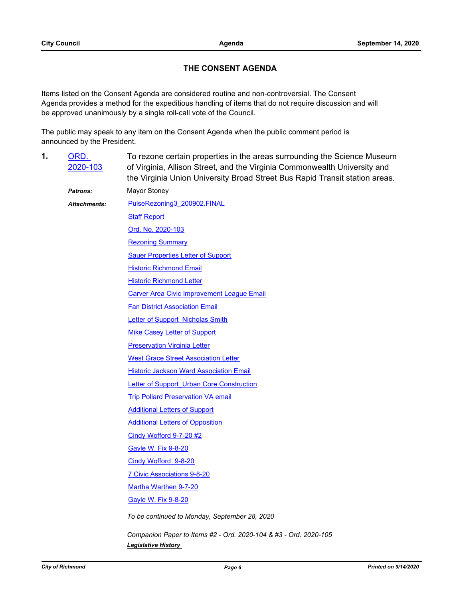# **THE CONSENT AGENDA**

Items listed on the Consent Agenda are considered routine and non-controversial. The Consent Agenda provides a method for the expeditious handling of items that do not require discussion and will be approved unanimously by a single roll-call vote of the Council.

The public may speak to any item on the Consent Agenda when the public comment period is announced by the President.

To rezone certain properties in the areas surrounding the Science Museum of Virginia, Allison Street, and the Virginia Commonwealth University and the Virginia Union University Broad Street Bus Rapid Transit station areas. ORD. [2020-103](http://richmondva.legistar.com/gateway.aspx?m=l&id=/matter.aspx?key=27575) **1.** *Patrons:* Mayor Stoney [PulseRezoning3\\_200902.FINAL](http://richmondva.legistar.com/gateway.aspx?M=F&ID=d4130fbb-7b4b-49bb-8d18-f8d31c68fc08.pdf) [Staff Report](http://richmondva.legistar.com/gateway.aspx?M=F&ID=aa13797f-1830-41ed-82b7-25fd6aa5761d.pdf) [Ord. No. 2020-103](http://richmondva.legistar.com/gateway.aspx?M=F&ID=048e9003-0b78-411a-a24f-a082e2053926.pdf) **[Rezoning Summary](http://richmondva.legistar.com/gateway.aspx?M=F&ID=3f4cba49-0e19-45c8-bae4-e2d6a1be0e6f.pdf) [Sauer Properties Letter of Support](http://richmondva.legistar.com/gateway.aspx?M=F&ID=c5aa77c6-d198-4c61-95ed-2cf5b982bf04.pdf)** [Historic Richmond Email](http://richmondva.legistar.com/gateway.aspx?M=F&ID=70ef83d9-a6ad-494f-b0eb-5b4baae5c8cf.pdf) **[Historic Richmond Letter](http://richmondva.legistar.com/gateway.aspx?M=F&ID=5f5d888f-db94-4a6a-aa5d-507fb44a602f.pdf)** [Carver Area Civic Improvement League Email](http://richmondva.legistar.com/gateway.aspx?M=F&ID=99f15c27-4fd7-41c1-9d00-fbd1bf883e6b.pdf) **[Fan District Association Email](http://richmondva.legistar.com/gateway.aspx?M=F&ID=3ff22086-b983-4540-8d76-88f5c04e6900.pdf)** [Letter of Support\\_Nicholas Smith](http://richmondva.legistar.com/gateway.aspx?M=F&ID=1756dcc0-1d15-4dc7-bffb-7b0b2ed88d52.pdf) [Mike Casey Letter of Support](http://richmondva.legistar.com/gateway.aspx?M=F&ID=439d5562-66a7-4455-9841-b25252f304a1.pdf) **[Preservation Virginia Letter](http://richmondva.legistar.com/gateway.aspx?M=F&ID=4301aa87-7da4-4df0-a10f-f7739a83eadc.pdf)** [West Grace Street Association Letter](http://richmondva.legistar.com/gateway.aspx?M=F&ID=4ba00534-63fc-4029-9575-87e62960fb57.pdf) [Historic Jackson Ward Association Email](http://richmondva.legistar.com/gateway.aspx?M=F&ID=6320a8f6-8d8d-458c-8f6c-7e70ad519781.pdf) Letter of Support Urban Core Construction [Trip Pollard Preservation VA email](http://richmondva.legistar.com/gateway.aspx?M=F&ID=ab0236f8-c052-40eb-8a9d-eca1fe5b335e.pdf) **[Additional Letters of Support](http://richmondva.legistar.com/gateway.aspx?M=F&ID=4cefa515-30ef-44c9-9ee4-12dd5c8e6a33.pdf) [Additional Letters of Opposition](http://richmondva.legistar.com/gateway.aspx?M=F&ID=9cea8277-1d67-480d-af5e-e4f91c3ea78e.pdf)** [Cindy Wofford 9-7-20 #2](http://richmondva.legistar.com/gateway.aspx?M=F&ID=51d578fe-56f2-4f0a-9c02-d2ab37c84f9c.pdf) [Gayle W. Fix 9-8-20](http://richmondva.legistar.com/gateway.aspx?M=F&ID=b1a8891e-96e6-4e5a-81e3-93510cc00168.pdf) [Cindy Wofford 9-8-20](http://richmondva.legistar.com/gateway.aspx?M=F&ID=47c6bf4d-3470-4982-a130-ea3844add8df.pdf) [7 Civic Associations 9-8-20](http://richmondva.legistar.com/gateway.aspx?M=F&ID=b9b6116b-e58f-49d0-826f-737565ec0049.pdf) [Martha Warthen 9-7-20](http://richmondva.legistar.com/gateway.aspx?M=F&ID=401e0724-a8de-43ef-97c1-445c00dedb16.pdf) [Gayle W. Fix 9-8-20](http://richmondva.legistar.com/gateway.aspx?M=F&ID=9c06fab4-edfd-438c-81b2-a40cc50e833f.pdf) *Attachments: To be continued to Monday, September 28, 2020 Companion Paper to Items #2 - Ord. 2020-104 & #3 - Ord. 2020-105*

*Legislative History*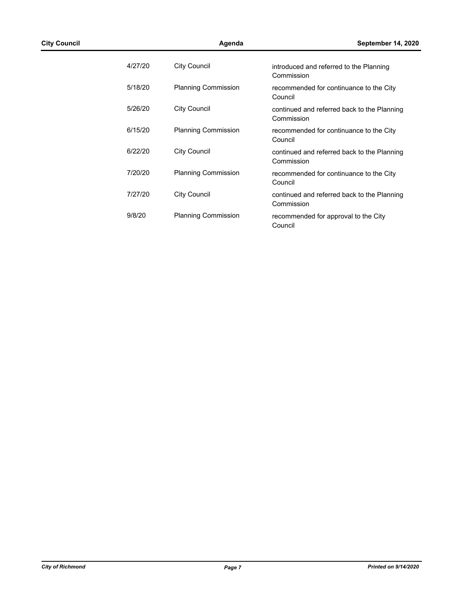| 4/27/20 | City Council               | introduced and referred to the Planning<br>Commission     |
|---------|----------------------------|-----------------------------------------------------------|
| 5/18/20 | <b>Planning Commission</b> | recommended for continuance to the City<br>Council        |
| 5/26/20 | City Council               | continued and referred back to the Planning<br>Commission |
| 6/15/20 | <b>Planning Commission</b> | recommended for continuance to the City<br>Council        |
| 6/22/20 | City Council               | continued and referred back to the Planning<br>Commission |
| 7/20/20 | <b>Planning Commission</b> | recommended for continuance to the City<br>Council        |
| 7/27/20 | City Council               | continued and referred back to the Planning<br>Commission |
| 9/8/20  | <b>Planning Commission</b> | recommended for approval to the City<br>Council           |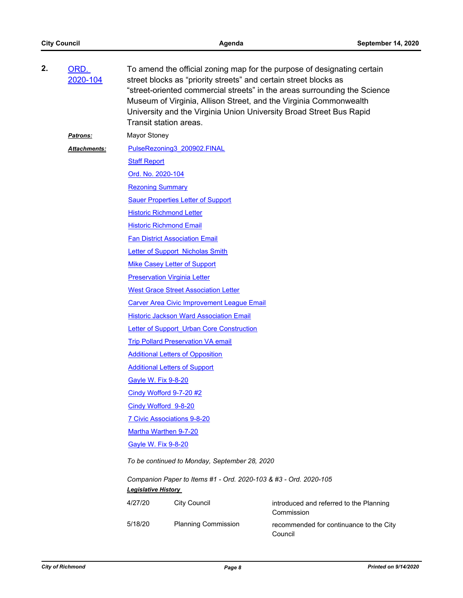| 2. | ORD.<br>2020-104 | To amend the official zoning map for the purpose of designating certain<br>street blocks as "priority streets" and certain street blocks as<br>"street-oriented commercial streets" in the areas surrounding the Science<br>Museum of Virginia, Allison Street, and the Virginia Commonwealth<br>University and the Virginia Union University Broad Street Bus Rapid<br>Transit station areas. |                                       |                                                       |  |  |  |
|----|------------------|------------------------------------------------------------------------------------------------------------------------------------------------------------------------------------------------------------------------------------------------------------------------------------------------------------------------------------------------------------------------------------------------|---------------------------------------|-------------------------------------------------------|--|--|--|
|    | <b>Patrons:</b>  | <b>Mayor Stoney</b>                                                                                                                                                                                                                                                                                                                                                                            |                                       |                                                       |  |  |  |
|    | Attachments:     | PulseRezoning3_200902.FINAL                                                                                                                                                                                                                                                                                                                                                                    |                                       |                                                       |  |  |  |
|    |                  | <b>Staff Report</b>                                                                                                                                                                                                                                                                                                                                                                            |                                       |                                                       |  |  |  |
|    |                  | Ord. No. 2020-104                                                                                                                                                                                                                                                                                                                                                                              |                                       |                                                       |  |  |  |
|    |                  | <b>Rezoning Summary</b>                                                                                                                                                                                                                                                                                                                                                                        |                                       |                                                       |  |  |  |
|    |                  | <b>Sauer Properties Letter of Support</b>                                                                                                                                                                                                                                                                                                                                                      |                                       |                                                       |  |  |  |
|    |                  |                                                                                                                                                                                                                                                                                                                                                                                                | <b>Historic Richmond Letter</b>       |                                                       |  |  |  |
|    |                  |                                                                                                                                                                                                                                                                                                                                                                                                | <b>Historic Richmond Email</b>        |                                                       |  |  |  |
|    |                  |                                                                                                                                                                                                                                                                                                                                                                                                | <b>Fan District Association Email</b> |                                                       |  |  |  |
|    |                  |                                                                                                                                                                                                                                                                                                                                                                                                | Letter of Support Nicholas Smith      |                                                       |  |  |  |
|    |                  | <b>Mike Casey Letter of Support</b>                                                                                                                                                                                                                                                                                                                                                            |                                       |                                                       |  |  |  |
|    |                  |                                                                                                                                                                                                                                                                                                                                                                                                | <b>Preservation Virginia Letter</b>   |                                                       |  |  |  |
|    |                  | <b>West Grace Street Association Letter</b>                                                                                                                                                                                                                                                                                                                                                    |                                       |                                                       |  |  |  |
|    |                  | <b>Carver Area Civic Improvement League Email</b>                                                                                                                                                                                                                                                                                                                                              |                                       |                                                       |  |  |  |
|    |                  | <b>Historic Jackson Ward Association Email</b>                                                                                                                                                                                                                                                                                                                                                 |                                       |                                                       |  |  |  |
|    |                  | <b>Letter of Support Urban Core Construction</b>                                                                                                                                                                                                                                                                                                                                               |                                       |                                                       |  |  |  |
|    |                  | <b>Trip Pollard Preservation VA email</b>                                                                                                                                                                                                                                                                                                                                                      |                                       |                                                       |  |  |  |
|    |                  | <b>Additional Letters of Opposition</b>                                                                                                                                                                                                                                                                                                                                                        |                                       |                                                       |  |  |  |
|    |                  | <b>Additional Letters of Support</b>                                                                                                                                                                                                                                                                                                                                                           |                                       |                                                       |  |  |  |
|    |                  | <b>Gayle W. Fix 9-8-20</b>                                                                                                                                                                                                                                                                                                                                                                     |                                       |                                                       |  |  |  |
|    |                  | Cindy Wofford 9-7-20 #2                                                                                                                                                                                                                                                                                                                                                                        |                                       |                                                       |  |  |  |
|    |                  | Cindy Wofford 9-8-20                                                                                                                                                                                                                                                                                                                                                                           |                                       |                                                       |  |  |  |
|    |                  | 7 Civic Associations 9-8-20                                                                                                                                                                                                                                                                                                                                                                    |                                       |                                                       |  |  |  |
|    |                  | Martha Warthen 9-7-20                                                                                                                                                                                                                                                                                                                                                                          |                                       |                                                       |  |  |  |
|    |                  | <b>Gayle W. Fix 9-8-20</b>                                                                                                                                                                                                                                                                                                                                                                     |                                       |                                                       |  |  |  |
|    |                  | To be continued to Monday, September 28, 2020                                                                                                                                                                                                                                                                                                                                                  |                                       |                                                       |  |  |  |
|    |                  | Companion Paper to Items #1 - Ord. 2020-103 & #3 - Ord. 2020-105<br><b>Legislative History</b>                                                                                                                                                                                                                                                                                                 |                                       |                                                       |  |  |  |
|    |                  | 4/27/20                                                                                                                                                                                                                                                                                                                                                                                        | <b>City Council</b>                   | introduced and referred to the Planning<br>Commission |  |  |  |
|    |                  | 5/18/20                                                                                                                                                                                                                                                                                                                                                                                        | <b>Planning Commission</b>            | recommended for continuance to the City<br>Council    |  |  |  |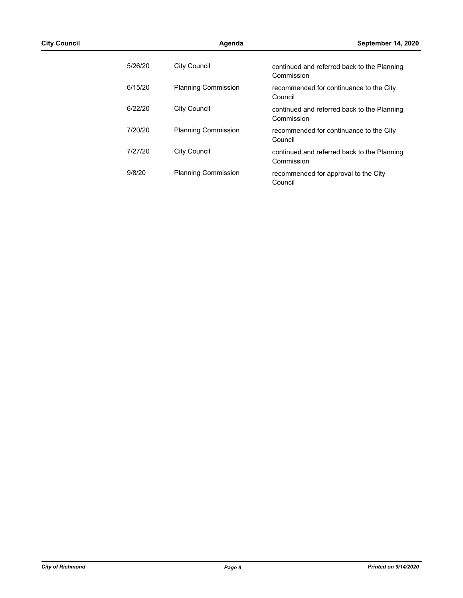| 5/26/20 | City Council               | continued and referred back to the Planning<br>Commission |
|---------|----------------------------|-----------------------------------------------------------|
| 6/15/20 | <b>Planning Commission</b> | recommended for continuance to the City<br>Council        |
| 6/22/20 | City Council               | continued and referred back to the Planning<br>Commission |
| 7/20/20 | <b>Planning Commission</b> | recommended for continuance to the City<br>Council        |
| 7/27/20 | City Council               | continued and referred back to the Planning<br>Commission |
| 9/8/20  | <b>Planning Commission</b> | recommended for approval to the City<br>Council           |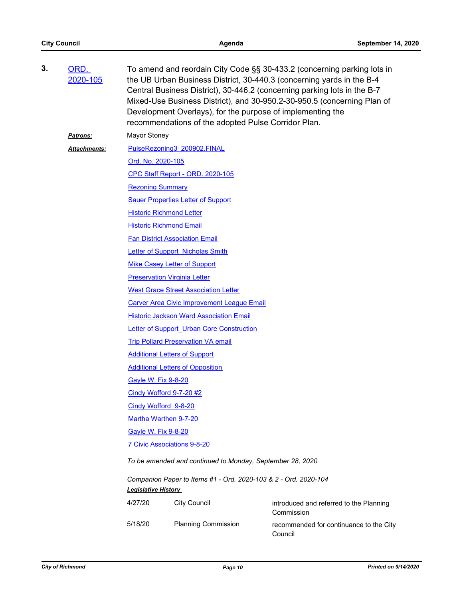| 3. | ORD.<br>2020-105    | To amend and reordain City Code §§ 30-433.2 (concerning parking lots in<br>the UB Urban Business District, 30-440.3 (concerning yards in the B-4<br>Central Business District), 30-446.2 (concerning parking lots in the B-7<br>Mixed-Use Business District), and 30-950.2-30-950.5 (concerning Plan of<br>Development Overlays), for the purpose of implementing the<br>recommendations of the adopted Pulse Corridor Plan. |                                                                 |                                                    |  |  |  |
|----|---------------------|------------------------------------------------------------------------------------------------------------------------------------------------------------------------------------------------------------------------------------------------------------------------------------------------------------------------------------------------------------------------------------------------------------------------------|-----------------------------------------------------------------|----------------------------------------------------|--|--|--|
|    | <b>Patrons:</b>     | Mayor Stoney                                                                                                                                                                                                                                                                                                                                                                                                                 |                                                                 |                                                    |  |  |  |
|    | <b>Attachments:</b> | PulseRezoning3 200902.FINAL                                                                                                                                                                                                                                                                                                                                                                                                  |                                                                 |                                                    |  |  |  |
|    |                     | Ord. No. 2020-105                                                                                                                                                                                                                                                                                                                                                                                                            |                                                                 |                                                    |  |  |  |
|    |                     | CPC Staff Report - ORD. 2020-105                                                                                                                                                                                                                                                                                                                                                                                             |                                                                 |                                                    |  |  |  |
|    |                     | <b>Rezoning Summary</b>                                                                                                                                                                                                                                                                                                                                                                                                      |                                                                 |                                                    |  |  |  |
|    |                     |                                                                                                                                                                                                                                                                                                                                                                                                                              | <b>Sauer Properties Letter of Support</b>                       |                                                    |  |  |  |
|    |                     |                                                                                                                                                                                                                                                                                                                                                                                                                              | <b>Historic Richmond Letter</b>                                 |                                                    |  |  |  |
|    |                     |                                                                                                                                                                                                                                                                                                                                                                                                                              | <b>Historic Richmond Email</b>                                  |                                                    |  |  |  |
|    |                     |                                                                                                                                                                                                                                                                                                                                                                                                                              | <b>Fan District Association Email</b>                           |                                                    |  |  |  |
|    |                     | Letter of Support Nicholas Smith                                                                                                                                                                                                                                                                                                                                                                                             |                                                                 |                                                    |  |  |  |
|    |                     | <b>Mike Casey Letter of Support</b>                                                                                                                                                                                                                                                                                                                                                                                          |                                                                 |                                                    |  |  |  |
|    |                     | <b>Preservation Virginia Letter</b>                                                                                                                                                                                                                                                                                                                                                                                          |                                                                 |                                                    |  |  |  |
|    |                     | <b>West Grace Street Association Letter</b>                                                                                                                                                                                                                                                                                                                                                                                  |                                                                 |                                                    |  |  |  |
|    |                     | <b>Carver Area Civic Improvement League Email</b>                                                                                                                                                                                                                                                                                                                                                                            |                                                                 |                                                    |  |  |  |
|    |                     | <b>Historic Jackson Ward Association Email</b>                                                                                                                                                                                                                                                                                                                                                                               |                                                                 |                                                    |  |  |  |
|    |                     | <b>Letter of Support Urban Core Construction</b>                                                                                                                                                                                                                                                                                                                                                                             |                                                                 |                                                    |  |  |  |
|    |                     | <b>Trip Pollard Preservation VA email</b>                                                                                                                                                                                                                                                                                                                                                                                    |                                                                 |                                                    |  |  |  |
|    |                     | <b>Additional Letters of Support</b>                                                                                                                                                                                                                                                                                                                                                                                         |                                                                 |                                                    |  |  |  |
|    |                     |                                                                                                                                                                                                                                                                                                                                                                                                                              | <b>Additional Letters of Opposition</b>                         |                                                    |  |  |  |
|    |                     | <b>Gayle W. Fix 9-8-20</b>                                                                                                                                                                                                                                                                                                                                                                                                   |                                                                 |                                                    |  |  |  |
|    |                     |                                                                                                                                                                                                                                                                                                                                                                                                                              | Cindy Wofford 9-7-20 #2                                         |                                                    |  |  |  |
|    |                     |                                                                                                                                                                                                                                                                                                                                                                                                                              | Cindy Wofford 9-8-20                                            |                                                    |  |  |  |
|    |                     |                                                                                                                                                                                                                                                                                                                                                                                                                              | Martha Warthen 9-7-20                                           |                                                    |  |  |  |
|    |                     | <b>Gayle W. Fix 9-8-20</b>                                                                                                                                                                                                                                                                                                                                                                                                   |                                                                 |                                                    |  |  |  |
|    |                     |                                                                                                                                                                                                                                                                                                                                                                                                                              | 7 Civic Associations 9-8-20                                     |                                                    |  |  |  |
|    |                     | To be amended and continued to Monday, September 28, 2020                                                                                                                                                                                                                                                                                                                                                                    |                                                                 |                                                    |  |  |  |
|    |                     | <b>Legislative History</b>                                                                                                                                                                                                                                                                                                                                                                                                   | Companion Paper to Items #1 - Ord. 2020-103 & 2 - Ord. 2020-104 |                                                    |  |  |  |
|    |                     | 4/27/20                                                                                                                                                                                                                                                                                                                                                                                                                      | <b>City Council</b>                                             | introduced and referred to the Planning            |  |  |  |
|    |                     |                                                                                                                                                                                                                                                                                                                                                                                                                              |                                                                 | Commission                                         |  |  |  |
|    |                     | 5/18/20                                                                                                                                                                                                                                                                                                                                                                                                                      | <b>Planning Commission</b>                                      | recommended for continuance to the City<br>Council |  |  |  |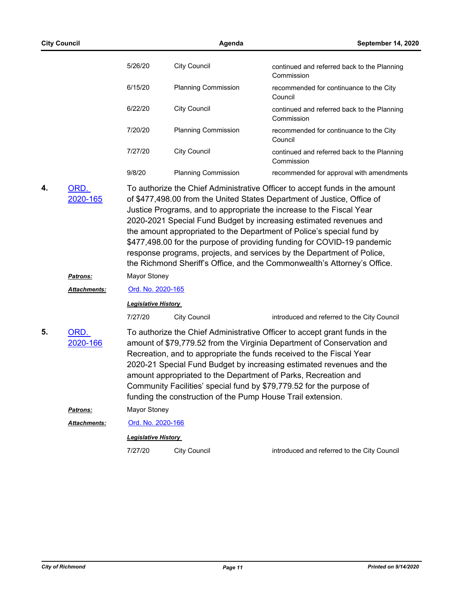|    | <b>City Council</b> |                            | Agenda                     |                                                                                                                                                                                                                                                                                                                                                                                                                                                                                                                                                                                                                |
|----|---------------------|----------------------------|----------------------------|----------------------------------------------------------------------------------------------------------------------------------------------------------------------------------------------------------------------------------------------------------------------------------------------------------------------------------------------------------------------------------------------------------------------------------------------------------------------------------------------------------------------------------------------------------------------------------------------------------------|
|    |                     | 5/26/20                    | <b>City Council</b>        | continued and referred back to the Planning<br>Commission                                                                                                                                                                                                                                                                                                                                                                                                                                                                                                                                                      |
|    |                     | 6/15/20                    | <b>Planning Commission</b> | recommended for continuance to the City<br>Council                                                                                                                                                                                                                                                                                                                                                                                                                                                                                                                                                             |
|    |                     | 6/22/20                    | <b>City Council</b>        | continued and referred back to the Planning<br>Commission                                                                                                                                                                                                                                                                                                                                                                                                                                                                                                                                                      |
|    |                     | 7/20/20                    | <b>Planning Commission</b> | recommended for continuance to the City<br>Council                                                                                                                                                                                                                                                                                                                                                                                                                                                                                                                                                             |
|    |                     | 7/27/20                    | <b>City Council</b>        | continued and referred back to the Planning<br>Commission                                                                                                                                                                                                                                                                                                                                                                                                                                                                                                                                                      |
|    |                     | 9/8/20                     | <b>Planning Commission</b> | recommended for approval with amendments                                                                                                                                                                                                                                                                                                                                                                                                                                                                                                                                                                       |
| 4. | ORD.<br>2020-165    |                            |                            | To authorize the Chief Administrative Officer to accept funds in the amount<br>of \$477,498.00 from the United States Department of Justice, Office of<br>Justice Programs, and to appropriate the increase to the Fiscal Year<br>2020-2021 Special Fund Budget by increasing estimated revenues and<br>the amount appropriated to the Department of Police's special fund by<br>\$477,498.00 for the purpose of providing funding for COVID-19 pandemic<br>response programs, projects, and services by the Department of Police,<br>the Richmond Sheriff's Office, and the Commonwealth's Attorney's Office. |
|    | Patrons:            | Mayor Stoney               |                            |                                                                                                                                                                                                                                                                                                                                                                                                                                                                                                                                                                                                                |
|    | Attachments:        | Ord. No. 2020-165          |                            |                                                                                                                                                                                                                                                                                                                                                                                                                                                                                                                                                                                                                |
|    |                     | <b>Legislative History</b> |                            |                                                                                                                                                                                                                                                                                                                                                                                                                                                                                                                                                                                                                |
|    |                     | 7/27/20                    | <b>City Council</b>        | introduced and referred to the City Council                                                                                                                                                                                                                                                                                                                                                                                                                                                                                                                                                                    |
| 5. | ORD.<br>2020-166    |                            |                            | To authorize the Chief Administrative Officer to accept grant funds in the<br>amount of \$79,779.52 from the Virginia Department of Conservation and<br>Recreation, and to appropriate the funds received to the Fiscal Year<br>2020-21 Special Fund Budget by increasing estimated revenues and the<br>amount appropriated to the Department of Parks, Recreation and<br>Community Facilities' special fund by \$79,779.52 for the purpose of<br>funding the construction of the Pump House Trail extension.                                                                                                  |
|    | Patrons:            | Mayor Stoney               |                            |                                                                                                                                                                                                                                                                                                                                                                                                                                                                                                                                                                                                                |
|    | Attachments:        | Ord. No. 2020-166          |                            |                                                                                                                                                                                                                                                                                                                                                                                                                                                                                                                                                                                                                |
|    |                     | Legislative History        |                            |                                                                                                                                                                                                                                                                                                                                                                                                                                                                                                                                                                                                                |
|    |                     | 7/27/20                    | <b>City Council</b>        | introduced and referred to the City Council                                                                                                                                                                                                                                                                                                                                                                                                                                                                                                                                                                    |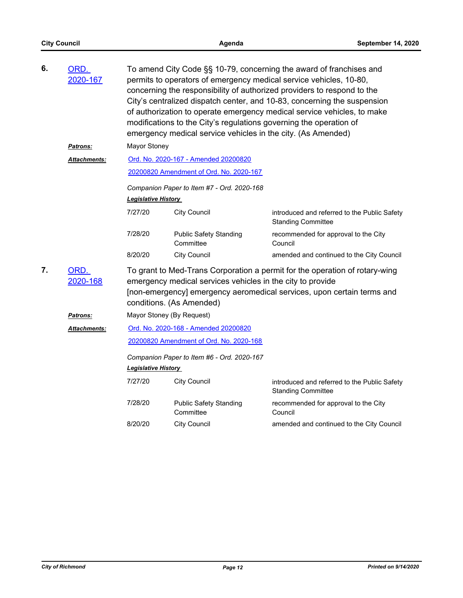| 6. | ORD.<br>2020-167    | To amend City Code §§ 10-79, concerning the award of franchises and<br>permits to operators of emergency medical service vehicles, 10-80,<br>concerning the responsibility of authorized providers to respond to the<br>City's centralized dispatch center, and 10-83, concerning the suspension<br>of authorization to operate emergency medical service vehicles, to make<br>modifications to the City's regulations governing the operation of<br>emergency medical service vehicles in the city. (As Amended) |                                            |                                                                           |  |  |
|----|---------------------|-------------------------------------------------------------------------------------------------------------------------------------------------------------------------------------------------------------------------------------------------------------------------------------------------------------------------------------------------------------------------------------------------------------------------------------------------------------------------------------------------------------------|--------------------------------------------|---------------------------------------------------------------------------|--|--|
|    | <b>Patrons:</b>     | Mayor Stoney                                                                                                                                                                                                                                                                                                                                                                                                                                                                                                      |                                            |                                                                           |  |  |
|    | <b>Attachments:</b> |                                                                                                                                                                                                                                                                                                                                                                                                                                                                                                                   | Ord. No. 2020-167 - Amended 20200820       |                                                                           |  |  |
|    |                     |                                                                                                                                                                                                                                                                                                                                                                                                                                                                                                                   | 20200820 Amendment of Ord. No. 2020-167    |                                                                           |  |  |
|    |                     |                                                                                                                                                                                                                                                                                                                                                                                                                                                                                                                   | Companion Paper to Item #7 - Ord. 2020-168 |                                                                           |  |  |
|    |                     | <b>Legislative History</b>                                                                                                                                                                                                                                                                                                                                                                                                                                                                                        |                                            |                                                                           |  |  |
|    |                     | 7/27/20                                                                                                                                                                                                                                                                                                                                                                                                                                                                                                           | <b>City Council</b>                        | introduced and referred to the Public Safety<br><b>Standing Committee</b> |  |  |
|    |                     | 7/28/20                                                                                                                                                                                                                                                                                                                                                                                                                                                                                                           | <b>Public Safety Standing</b><br>Committee | recommended for approval to the City<br>Council                           |  |  |
|    |                     | 8/20/20                                                                                                                                                                                                                                                                                                                                                                                                                                                                                                           | <b>City Council</b>                        | amended and continued to the City Council                                 |  |  |
| 7. | ORD.<br>2020-168    | To grant to Med-Trans Corporation a permit for the operation of rotary-wing<br>emergency medical services vehicles in the city to provide<br>[non-emergency] emergency aeromedical services, upon certain terms and<br>conditions. (As Amended)                                                                                                                                                                                                                                                                   |                                            |                                                                           |  |  |
|    | Patrons:            |                                                                                                                                                                                                                                                                                                                                                                                                                                                                                                                   | Mayor Stoney (By Request)                  |                                                                           |  |  |
|    | Attachments:        | Ord. No. 2020-168 - Amended 20200820                                                                                                                                                                                                                                                                                                                                                                                                                                                                              |                                            |                                                                           |  |  |
|    |                     | 20200820 Amendment of Ord. No. 2020-168                                                                                                                                                                                                                                                                                                                                                                                                                                                                           |                                            |                                                                           |  |  |
|    |                     | Companion Paper to Item #6 - Ord. 2020-167                                                                                                                                                                                                                                                                                                                                                                                                                                                                        |                                            |                                                                           |  |  |
|    |                     | Legislative History                                                                                                                                                                                                                                                                                                                                                                                                                                                                                               |                                            |                                                                           |  |  |
|    |                     | 7/27/20                                                                                                                                                                                                                                                                                                                                                                                                                                                                                                           | <b>City Council</b>                        | introduced and referred to the Public Safety<br><b>Standing Committee</b> |  |  |
|    |                     | 7/28/20                                                                                                                                                                                                                                                                                                                                                                                                                                                                                                           | <b>Public Safety Standing</b><br>Committee | recommended for approval to the City<br>Council                           |  |  |
|    |                     | 8/20/20                                                                                                                                                                                                                                                                                                                                                                                                                                                                                                           | <b>City Council</b>                        | amended and continued to the City Council                                 |  |  |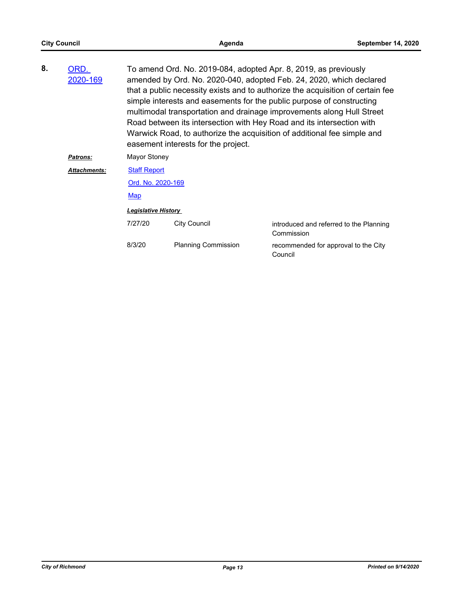| 8. | ORD.<br>2020-169    | To amend Ord. No. 2019-084, adopted Apr. 8, 2019, as previously<br>amended by Ord. No. 2020-040, adopted Feb. 24, 2020, which declared<br>that a public necessity exists and to authorize the acquisition of certain fee<br>simple interests and easements for the public purpose of constructing<br>multimodal transportation and drainage improvements along Hull Street<br>Road between its intersection with Hey Road and its intersection with<br>Warwick Road, to authorize the acquisition of additional fee simple and<br>easement interests for the project. |                            |                                                       |  |
|----|---------------------|-----------------------------------------------------------------------------------------------------------------------------------------------------------------------------------------------------------------------------------------------------------------------------------------------------------------------------------------------------------------------------------------------------------------------------------------------------------------------------------------------------------------------------------------------------------------------|----------------------------|-------------------------------------------------------|--|
|    | <b>Patrons:</b>     | Mayor Stoney                                                                                                                                                                                                                                                                                                                                                                                                                                                                                                                                                          |                            |                                                       |  |
|    | <b>Attachments:</b> | <b>Staff Report</b>                                                                                                                                                                                                                                                                                                                                                                                                                                                                                                                                                   |                            |                                                       |  |
|    |                     | Ord. No. 2020-169                                                                                                                                                                                                                                                                                                                                                                                                                                                                                                                                                     |                            |                                                       |  |
|    |                     | Map                                                                                                                                                                                                                                                                                                                                                                                                                                                                                                                                                                   |                            |                                                       |  |
|    |                     | <b>Legislative History</b>                                                                                                                                                                                                                                                                                                                                                                                                                                                                                                                                            |                            |                                                       |  |
|    |                     | 7/27/20                                                                                                                                                                                                                                                                                                                                                                                                                                                                                                                                                               | <b>City Council</b>        | introduced and referred to the Planning<br>Commission |  |
|    |                     | 8/3/20                                                                                                                                                                                                                                                                                                                                                                                                                                                                                                                                                                | <b>Planning Commission</b> | recommended for approval to the City<br>Council       |  |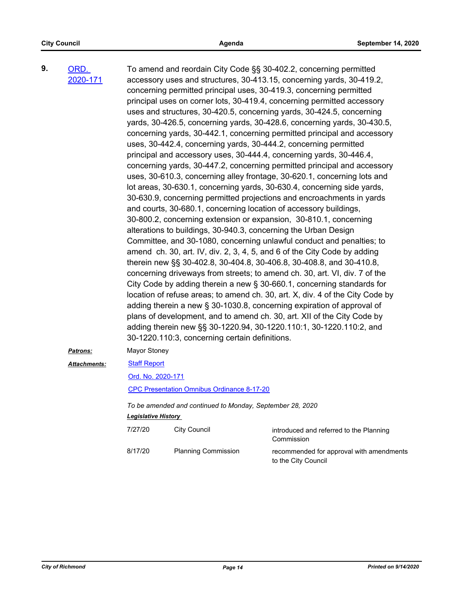| 9. | ORD.                |                                                                     |                                                | To amend and reordain City Code §§ 30-402.2, concerning permitted             |  |  |
|----|---------------------|---------------------------------------------------------------------|------------------------------------------------|-------------------------------------------------------------------------------|--|--|
|    | 2020-171            |                                                                     |                                                | accessory uses and structures, 30-413.15, concerning yards, 30-419.2,         |  |  |
|    |                     |                                                                     |                                                | concerning permitted principal uses, 30-419.3, concerning permitted           |  |  |
|    |                     |                                                                     |                                                | principal uses on corner lots, 30-419.4, concerning permitted accessory       |  |  |
|    |                     |                                                                     |                                                | uses and structures, 30-420.5, concerning yards, 30-424.5, concerning         |  |  |
|    |                     |                                                                     |                                                | yards, 30-426.5, concerning yards, 30-428.6, concerning yards, 30-430.5,      |  |  |
|    |                     |                                                                     |                                                | concerning yards, 30-442.1, concerning permitted principal and accessory      |  |  |
|    |                     |                                                                     |                                                | uses, 30-442.4, concerning yards, 30-444.2, concerning permitted              |  |  |
|    |                     |                                                                     |                                                | principal and accessory uses, 30-444.4, concerning yards, 30-446.4,           |  |  |
|    |                     |                                                                     |                                                | concerning yards, 30-447.2, concerning permitted principal and accessory      |  |  |
|    |                     |                                                                     |                                                | uses, 30-610.3, concerning alley frontage, 30-620.1, concerning lots and      |  |  |
|    |                     |                                                                     |                                                | lot areas, 30-630.1, concerning yards, 30-630.4, concerning side yards,       |  |  |
|    |                     |                                                                     |                                                | 30-630.9, concerning permitted projections and encroachments in yards         |  |  |
|    |                     |                                                                     |                                                | and courts, 30-680.1, concerning location of accessory buildings,             |  |  |
|    |                     |                                                                     |                                                | 30-800.2, concerning extension or expansion, 30-810.1, concerning             |  |  |
|    |                     |                                                                     |                                                | alterations to buildings, 30-940.3, concerning the Urban Design               |  |  |
|    |                     |                                                                     |                                                | Committee, and 30-1080, concerning unlawful conduct and penalties; to         |  |  |
|    |                     |                                                                     |                                                | amend ch. 30, art. IV, div. 2, 3, 4, 5, and 6 of the City Code by adding      |  |  |
|    |                     |                                                                     |                                                | therein new §§ 30-402.8, 30-404.8, 30-406.8, 30-408.8, and 30-410.8,          |  |  |
|    |                     |                                                                     |                                                | concerning driveways from streets; to amend ch. 30, art. VI, div. 7 of the    |  |  |
|    |                     |                                                                     |                                                | City Code by adding therein a new § 30-660.1, concerning standards for        |  |  |
|    |                     |                                                                     |                                                | location of refuse areas; to amend ch. 30, art. X, div. 4 of the City Code by |  |  |
|    |                     |                                                                     |                                                | adding therein a new § 30-1030.8, concerning expiration of approval of        |  |  |
|    |                     |                                                                     |                                                | plans of development, and to amend ch. 30, art. XII of the City Code by       |  |  |
|    |                     | adding therein new §§ 30-1220.94, 30-1220.110:1, 30-1220.110:2, and |                                                |                                                                               |  |  |
|    |                     |                                                                     | 30-1220.110:3, concerning certain definitions. |                                                                               |  |  |
|    | Patrons:            | Mayor Stoney                                                        |                                                |                                                                               |  |  |
|    | <b>Attachments:</b> |                                                                     | <b>Staff Report</b>                            |                                                                               |  |  |
|    |                     | Ord. No. 2020-171                                                   |                                                |                                                                               |  |  |
|    |                     | CPC Presentation Omnibus Ordinance 8-17-20                          |                                                |                                                                               |  |  |
|    |                     | To be amended and continued to Monday, September 28, 2020           |                                                |                                                                               |  |  |
|    |                     | <b>Legislative History</b>                                          |                                                |                                                                               |  |  |
|    |                     | 7/27/20                                                             | <b>City Council</b>                            | introduced and referred to the Planning<br>Commission                         |  |  |
|    |                     | 8/17/20                                                             | <b>Planning Commission</b>                     | recommended for approval with amendments<br>to the City Council               |  |  |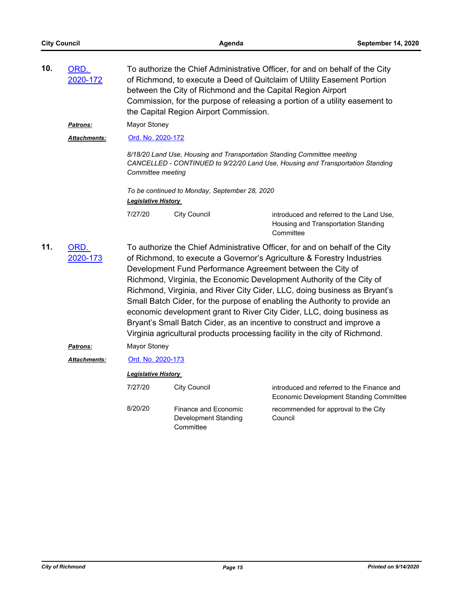| 10. | ORD.<br>2020-172    | To authorize the Chief Administrative Officer, for and on behalf of the City<br>of Richmond, to execute a Deed of Quitclaim of Utility Easement Portion<br>between the City of Richmond and the Capital Region Airport<br>Commission, for the purpose of releasing a portion of a utility easement to<br>the Capital Region Airport Commission. |                                                                                                                                                                                                                                                                                                                                                                                                                                                                                                                                                                                                                                                                                             |                                                                                                                                                           |  |
|-----|---------------------|-------------------------------------------------------------------------------------------------------------------------------------------------------------------------------------------------------------------------------------------------------------------------------------------------------------------------------------------------|---------------------------------------------------------------------------------------------------------------------------------------------------------------------------------------------------------------------------------------------------------------------------------------------------------------------------------------------------------------------------------------------------------------------------------------------------------------------------------------------------------------------------------------------------------------------------------------------------------------------------------------------------------------------------------------------|-----------------------------------------------------------------------------------------------------------------------------------------------------------|--|
|     | <b>Patrons:</b>     | <b>Mayor Stoney</b>                                                                                                                                                                                                                                                                                                                             |                                                                                                                                                                                                                                                                                                                                                                                                                                                                                                                                                                                                                                                                                             |                                                                                                                                                           |  |
|     | Attachments:        | Ord. No. 2020-172                                                                                                                                                                                                                                                                                                                               |                                                                                                                                                                                                                                                                                                                                                                                                                                                                                                                                                                                                                                                                                             |                                                                                                                                                           |  |
|     |                     | Committee meeting                                                                                                                                                                                                                                                                                                                               |                                                                                                                                                                                                                                                                                                                                                                                                                                                                                                                                                                                                                                                                                             | 8/18/20 Land Use, Housing and Transportation Standing Committee meeting<br>CANCELLED - CONTINUED to 9/22/20 Land Use, Housing and Transportation Standing |  |
|     |                     | Legislative History                                                                                                                                                                                                                                                                                                                             | To be continued to Monday, September 28, 2020                                                                                                                                                                                                                                                                                                                                                                                                                                                                                                                                                                                                                                               |                                                                                                                                                           |  |
|     |                     | 7/27/20                                                                                                                                                                                                                                                                                                                                         | <b>City Council</b>                                                                                                                                                                                                                                                                                                                                                                                                                                                                                                                                                                                                                                                                         | introduced and referred to the Land Use,<br>Housing and Transportation Standing<br>Committee                                                              |  |
| 11. | ORD.<br>2020-173    |                                                                                                                                                                                                                                                                                                                                                 | To authorize the Chief Administrative Officer, for and on behalf of the City<br>of Richmond, to execute a Governor's Agriculture & Forestry Industries<br>Development Fund Performance Agreement between the City of<br>Richmond, Virginia, the Economic Development Authority of the City of<br>Richmond, Virginia, and River City Cider, LLC, doing business as Bryant's<br>Small Batch Cider, for the purpose of enabling the Authority to provide an<br>economic development grant to River City Cider, LLC, doing business as<br>Bryant's Small Batch Cider, as an incentive to construct and improve a<br>Virginia agricultural products processing facility in the city of Richmond. |                                                                                                                                                           |  |
|     | <u>Patrons:</u>     | <b>Mayor Stoney</b>                                                                                                                                                                                                                                                                                                                             |                                                                                                                                                                                                                                                                                                                                                                                                                                                                                                                                                                                                                                                                                             |                                                                                                                                                           |  |
|     | <b>Attachments:</b> | Ord. No. 2020-173                                                                                                                                                                                                                                                                                                                               |                                                                                                                                                                                                                                                                                                                                                                                                                                                                                                                                                                                                                                                                                             |                                                                                                                                                           |  |
|     |                     | <b>Legislative History</b>                                                                                                                                                                                                                                                                                                                      |                                                                                                                                                                                                                                                                                                                                                                                                                                                                                                                                                                                                                                                                                             |                                                                                                                                                           |  |
|     |                     | 7/27/20                                                                                                                                                                                                                                                                                                                                         | <b>City Council</b>                                                                                                                                                                                                                                                                                                                                                                                                                                                                                                                                                                                                                                                                         | introduced and referred to the Finance and<br><b>Economic Development Standing Committee</b>                                                              |  |
|     |                     | 8/20/20                                                                                                                                                                                                                                                                                                                                         | <b>Finance and Economic</b><br>Development Standing<br>Committee                                                                                                                                                                                                                                                                                                                                                                                                                                                                                                                                                                                                                            | recommended for approval to the City<br>Council                                                                                                           |  |
|     |                     |                                                                                                                                                                                                                                                                                                                                                 |                                                                                                                                                                                                                                                                                                                                                                                                                                                                                                                                                                                                                                                                                             |                                                                                                                                                           |  |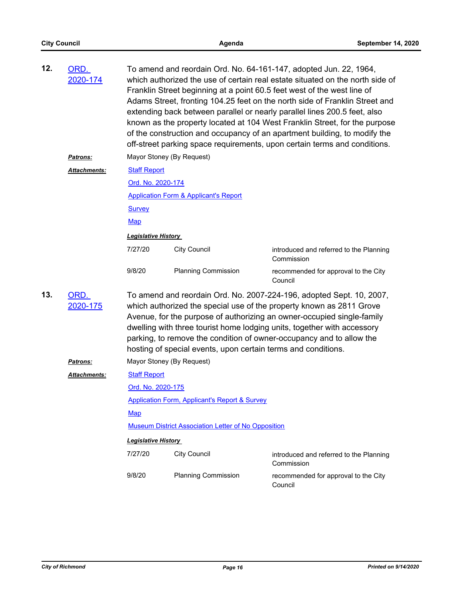| 12. | ORD.<br><u>2020-174</u> | To amend and reordain Ord. No. 64-161-147, adopted Jun. 22, 1964,<br>which authorized the use of certain real estate situated on the north side of<br>Franklin Street beginning at a point 60.5 feet west of the west line of<br>Adams Street, fronting 104.25 feet on the north side of Franklin Street and<br>extending back between parallel or nearly parallel lines 200.5 feet, also<br>known as the property located at 104 West Franklin Street, for the purpose<br>of the construction and occupancy of an apartment building, to modify the<br>off-street parking space requirements, upon certain terms and conditions. |                                                  |                                                       |  |  |
|-----|-------------------------|-----------------------------------------------------------------------------------------------------------------------------------------------------------------------------------------------------------------------------------------------------------------------------------------------------------------------------------------------------------------------------------------------------------------------------------------------------------------------------------------------------------------------------------------------------------------------------------------------------------------------------------|--------------------------------------------------|-------------------------------------------------------|--|--|
|     | <b>Patrons:</b>         |                                                                                                                                                                                                                                                                                                                                                                                                                                                                                                                                                                                                                                   | Mayor Stoney (By Request)                        |                                                       |  |  |
|     | <b>Attachments:</b>     | <b>Staff Report</b>                                                                                                                                                                                                                                                                                                                                                                                                                                                                                                                                                                                                               |                                                  |                                                       |  |  |
|     |                         | Ord. No. 2020-174                                                                                                                                                                                                                                                                                                                                                                                                                                                                                                                                                                                                                 |                                                  |                                                       |  |  |
|     |                         |                                                                                                                                                                                                                                                                                                                                                                                                                                                                                                                                                                                                                                   | <b>Application Form &amp; Applicant's Report</b> |                                                       |  |  |
|     |                         | <b>Survey</b>                                                                                                                                                                                                                                                                                                                                                                                                                                                                                                                                                                                                                     |                                                  |                                                       |  |  |
|     |                         | <b>Map</b>                                                                                                                                                                                                                                                                                                                                                                                                                                                                                                                                                                                                                        |                                                  |                                                       |  |  |
|     |                         | <b>Legislative History</b>                                                                                                                                                                                                                                                                                                                                                                                                                                                                                                                                                                                                        |                                                  |                                                       |  |  |
|     |                         | 7/27/20                                                                                                                                                                                                                                                                                                                                                                                                                                                                                                                                                                                                                           | <b>City Council</b>                              | introduced and referred to the Planning<br>Commission |  |  |
|     |                         | 9/8/20                                                                                                                                                                                                                                                                                                                                                                                                                                                                                                                                                                                                                            | <b>Planning Commission</b>                       | recommended for approval to the City<br>Council       |  |  |
| 13. | ORD.<br>2020-175        | To amend and reordain Ord. No. 2007-224-196, adopted Sept. 10, 2007,<br>which authorized the special use of the property known as 2811 Grove<br>Avenue, for the purpose of authorizing an owner-occupied single-family<br>dwelling with three tourist home lodging units, together with accessory<br>parking, to remove the condition of owner-occupancy and to allow the<br>hosting of special events, upon certain terms and conditions.                                                                                                                                                                                        |                                                  |                                                       |  |  |
|     | <u>Patrons:</u>         |                                                                                                                                                                                                                                                                                                                                                                                                                                                                                                                                                                                                                                   | Mayor Stoney (By Request)                        |                                                       |  |  |
|     | <b>Attachments:</b>     | <b>Staff Report</b>                                                                                                                                                                                                                                                                                                                                                                                                                                                                                                                                                                                                               |                                                  |                                                       |  |  |
|     |                         | Ord. No. 2020-175                                                                                                                                                                                                                                                                                                                                                                                                                                                                                                                                                                                                                 |                                                  |                                                       |  |  |
|     |                         | <b>Application Form, Applicant's Report &amp; Survey</b>                                                                                                                                                                                                                                                                                                                                                                                                                                                                                                                                                                          |                                                  |                                                       |  |  |
|     |                         | <b>Map</b>                                                                                                                                                                                                                                                                                                                                                                                                                                                                                                                                                                                                                        |                                                  |                                                       |  |  |
|     |                         | <b>Museum District Association Letter of No Opposition</b>                                                                                                                                                                                                                                                                                                                                                                                                                                                                                                                                                                        |                                                  |                                                       |  |  |
|     |                         | <b>Legislative History</b>                                                                                                                                                                                                                                                                                                                                                                                                                                                                                                                                                                                                        |                                                  |                                                       |  |  |
|     |                         | 7/27/20                                                                                                                                                                                                                                                                                                                                                                                                                                                                                                                                                                                                                           | <b>City Council</b>                              | introduced and referred to the Planning<br>Commission |  |  |
|     |                         | 9/8/20                                                                                                                                                                                                                                                                                                                                                                                                                                                                                                                                                                                                                            | <b>Planning Commission</b>                       | recommended for approval to the City<br>Council       |  |  |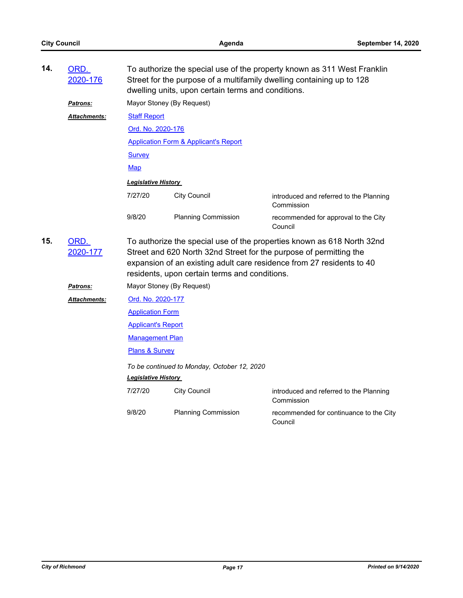| 14.                     | ORD.<br>2020-176    | To authorize the special use of the property known as 311 West Franklin<br>Street for the purpose of a multifamily dwelling containing up to 128<br>dwelling units, upon certain terms and conditions. |                                                                                                                                                                                                                       |                                                       |  |  |
|-------------------------|---------------------|--------------------------------------------------------------------------------------------------------------------------------------------------------------------------------------------------------|-----------------------------------------------------------------------------------------------------------------------------------------------------------------------------------------------------------------------|-------------------------------------------------------|--|--|
|                         | Patrons:            | Mayor Stoney (By Request)<br><b>Staff Report</b>                                                                                                                                                       |                                                                                                                                                                                                                       |                                                       |  |  |
|                         | <b>Attachments:</b> |                                                                                                                                                                                                        |                                                                                                                                                                                                                       |                                                       |  |  |
|                         |                     | Ord. No. 2020-176                                                                                                                                                                                      |                                                                                                                                                                                                                       |                                                       |  |  |
|                         |                     | <b>Application Form &amp; Applicant's Report</b>                                                                                                                                                       |                                                                                                                                                                                                                       |                                                       |  |  |
|                         |                     | <b>Survey</b>                                                                                                                                                                                          |                                                                                                                                                                                                                       |                                                       |  |  |
|                         |                     | <b>Map</b>                                                                                                                                                                                             |                                                                                                                                                                                                                       |                                                       |  |  |
|                         |                     | <b>Legislative History</b>                                                                                                                                                                             |                                                                                                                                                                                                                       |                                                       |  |  |
|                         |                     | 7/27/20                                                                                                                                                                                                | <b>City Council</b>                                                                                                                                                                                                   | introduced and referred to the Planning<br>Commission |  |  |
|                         |                     | 9/8/20                                                                                                                                                                                                 | <b>Planning Commission</b>                                                                                                                                                                                            | recommended for approval to the City<br>Council       |  |  |
| 15.<br>ORD.<br>2020-177 |                     | residents, upon certain terms and conditions.                                                                                                                                                          | To authorize the special use of the properties known as 618 North 32nd<br>Street and 620 North 32nd Street for the purpose of permitting the<br>expansion of an existing adult care residence from 27 residents to 40 |                                                       |  |  |
|                         | <b>Patrons:</b>     | Mayor Stoney (By Request)                                                                                                                                                                              |                                                                                                                                                                                                                       |                                                       |  |  |
|                         | <b>Attachments:</b> | Ord. No. 2020-177                                                                                                                                                                                      |                                                                                                                                                                                                                       |                                                       |  |  |
|                         |                     | <b>Application Form</b>                                                                                                                                                                                |                                                                                                                                                                                                                       |                                                       |  |  |
|                         |                     | <b>Applicant's Report</b>                                                                                                                                                                              |                                                                                                                                                                                                                       |                                                       |  |  |
|                         |                     | <b>Management Plan</b>                                                                                                                                                                                 |                                                                                                                                                                                                                       |                                                       |  |  |
|                         |                     | <b>Plans &amp; Survey</b>                                                                                                                                                                              |                                                                                                                                                                                                                       |                                                       |  |  |
|                         |                     | To be continued to Monday, October 12, 2020                                                                                                                                                            |                                                                                                                                                                                                                       |                                                       |  |  |
|                         |                     | <b>Legislative History</b>                                                                                                                                                                             |                                                                                                                                                                                                                       |                                                       |  |  |
|                         |                     | 7/27/20                                                                                                                                                                                                | <b>City Council</b>                                                                                                                                                                                                   | introduced and referred to the Planning<br>Commission |  |  |
|                         |                     | 9/8/20                                                                                                                                                                                                 | <b>Planning Commission</b>                                                                                                                                                                                            | recommended for continuance to the City<br>Council    |  |  |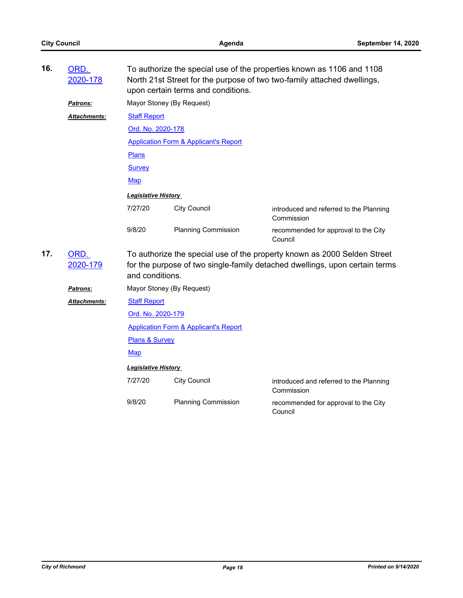| 16. | ORD.<br>2020-178     | To authorize the special use of the properties known as 1106 and 1108<br>North 21st Street for the purpose of two two-family attached dwellings,<br>upon certain terms and conditions. |                                                  |                                                       |  |  |  |
|-----|----------------------|----------------------------------------------------------------------------------------------------------------------------------------------------------------------------------------|--------------------------------------------------|-------------------------------------------------------|--|--|--|
|     | <b>Patrons:</b>      | Mayor Stoney (By Request)                                                                                                                                                              |                                                  |                                                       |  |  |  |
|     | Attachments:         | <b>Staff Report</b>                                                                                                                                                                    |                                                  |                                                       |  |  |  |
|     |                      | Ord. No. 2020-178                                                                                                                                                                      |                                                  |                                                       |  |  |  |
|     |                      |                                                                                                                                                                                        | <b>Application Form &amp; Applicant's Report</b> |                                                       |  |  |  |
|     |                      | Plans                                                                                                                                                                                  |                                                  |                                                       |  |  |  |
|     |                      | <b>Survey</b>                                                                                                                                                                          |                                                  |                                                       |  |  |  |
|     |                      | <b>Map</b>                                                                                                                                                                             |                                                  |                                                       |  |  |  |
|     |                      | <b>Legislative History</b>                                                                                                                                                             |                                                  |                                                       |  |  |  |
|     |                      | 7/27/20                                                                                                                                                                                | <b>City Council</b>                              | introduced and referred to the Planning<br>Commission |  |  |  |
|     |                      | 9/8/20                                                                                                                                                                                 | <b>Planning Commission</b>                       | recommended for approval to the City<br>Council       |  |  |  |
| 17. | ORD.<br>2020-179     | To authorize the special use of the property known as 2000 Selden Street<br>for the purpose of two single-family detached dwellings, upon certain terms<br>and conditions.             |                                                  |                                                       |  |  |  |
|     | <u>Patrons:</u>      |                                                                                                                                                                                        | Mayor Stoney (By Request)                        |                                                       |  |  |  |
|     | <u> Attachments:</u> | <b>Staff Report</b>                                                                                                                                                                    |                                                  |                                                       |  |  |  |
|     |                      | Ord. No. 2020-179                                                                                                                                                                      |                                                  |                                                       |  |  |  |
|     |                      | <b>Application Form &amp; Applicant's Report</b>                                                                                                                                       |                                                  |                                                       |  |  |  |
|     |                      | Plans & Survey                                                                                                                                                                         |                                                  |                                                       |  |  |  |
|     |                      | Map                                                                                                                                                                                    |                                                  |                                                       |  |  |  |
|     |                      | <b>Legislative History</b>                                                                                                                                                             |                                                  |                                                       |  |  |  |
|     |                      | 7/27/20                                                                                                                                                                                | <b>City Council</b>                              | introduced and referred to the Planning<br>Commission |  |  |  |
|     |                      | 9/8/20                                                                                                                                                                                 | <b>Planning Commission</b>                       | recommended for approval to the City<br>Council       |  |  |  |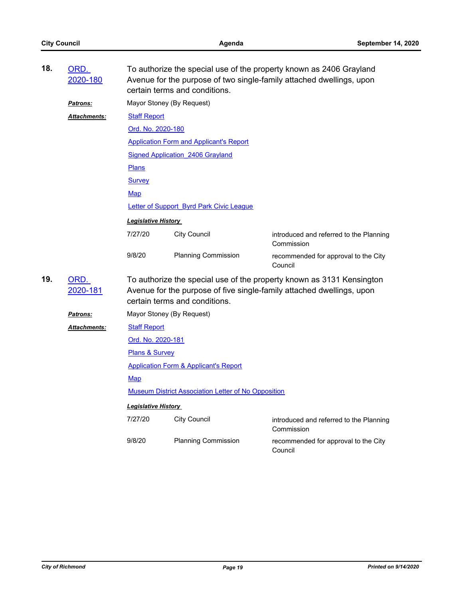| 18.<br>ORD.<br>To authorize the special use of the property known as 2406 Grayland<br>2020-180<br>Avenue for the purpose of two single-family attached dwellings, upon<br>certain terms and conditions. |                     |                                                                                                                                                                                 |                                                            |                                                       |  |  |
|---------------------------------------------------------------------------------------------------------------------------------------------------------------------------------------------------------|---------------------|---------------------------------------------------------------------------------------------------------------------------------------------------------------------------------|------------------------------------------------------------|-------------------------------------------------------|--|--|
|                                                                                                                                                                                                         | <b>Patrons:</b>     | Mayor Stoney (By Request)                                                                                                                                                       |                                                            |                                                       |  |  |
|                                                                                                                                                                                                         | <b>Attachments:</b> | <b>Staff Report</b>                                                                                                                                                             |                                                            |                                                       |  |  |
|                                                                                                                                                                                                         |                     | Ord. No. 2020-180                                                                                                                                                               |                                                            |                                                       |  |  |
|                                                                                                                                                                                                         |                     | <b>Application Form and Applicant's Report</b>                                                                                                                                  |                                                            |                                                       |  |  |
|                                                                                                                                                                                                         |                     | <b>Signed Application_2406 Grayland</b>                                                                                                                                         |                                                            |                                                       |  |  |
|                                                                                                                                                                                                         |                     | <b>Plans</b>                                                                                                                                                                    |                                                            |                                                       |  |  |
|                                                                                                                                                                                                         |                     | <b>Survey</b>                                                                                                                                                                   |                                                            |                                                       |  |  |
|                                                                                                                                                                                                         |                     | Map                                                                                                                                                                             |                                                            |                                                       |  |  |
|                                                                                                                                                                                                         |                     | Letter of Support Byrd Park Civic League                                                                                                                                        |                                                            |                                                       |  |  |
|                                                                                                                                                                                                         |                     | <b>Legislative History</b>                                                                                                                                                      |                                                            |                                                       |  |  |
|                                                                                                                                                                                                         |                     | 7/27/20                                                                                                                                                                         | <b>City Council</b>                                        | introduced and referred to the Planning<br>Commission |  |  |
|                                                                                                                                                                                                         |                     | 9/8/20                                                                                                                                                                          | <b>Planning Commission</b>                                 | recommended for approval to the City<br>Council       |  |  |
| 19.                                                                                                                                                                                                     | ORD.<br>2020-181    | To authorize the special use of the property known as 3131 Kensington<br>Avenue for the purpose of five single-family attached dwellings, upon<br>certain terms and conditions. |                                                            |                                                       |  |  |
|                                                                                                                                                                                                         | <b>Patrons:</b>     | Mayor Stoney (By Request)                                                                                                                                                       |                                                            |                                                       |  |  |
|                                                                                                                                                                                                         | <b>Attachments:</b> | <b>Staff Report</b>                                                                                                                                                             |                                                            |                                                       |  |  |
|                                                                                                                                                                                                         |                     | Ord. No. 2020-181                                                                                                                                                               |                                                            |                                                       |  |  |
|                                                                                                                                                                                                         |                     | Plans & Survey                                                                                                                                                                  |                                                            |                                                       |  |  |
|                                                                                                                                                                                                         |                     | <b>Application Form &amp; Applicant's Report</b>                                                                                                                                |                                                            |                                                       |  |  |
|                                                                                                                                                                                                         |                     | Map                                                                                                                                                                             |                                                            |                                                       |  |  |
|                                                                                                                                                                                                         |                     |                                                                                                                                                                                 | <b>Museum District Association Letter of No Opposition</b> |                                                       |  |  |
|                                                                                                                                                                                                         |                     | <b>Legislative History</b>                                                                                                                                                      |                                                            |                                                       |  |  |
|                                                                                                                                                                                                         |                     | 7/27/20                                                                                                                                                                         | <b>City Council</b>                                        | introduced and referred to the Planning<br>Commission |  |  |
|                                                                                                                                                                                                         |                     | 9/8/20                                                                                                                                                                          | <b>Planning Commission</b>                                 | recommended for approval to the City                  |  |  |

Council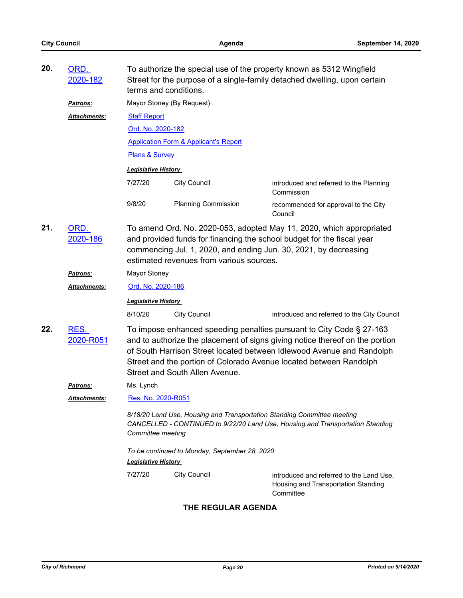| 20. | ORD.<br>2020-182    |                                                                                                                                                                                                                                                                                                                                       | To authorize the special use of the property known as 5312 Wingfield<br>Street for the purpose of a single-family detached dwelling, upon certain<br>terms and conditions. |                                                                                              |  |  |  |
|-----|---------------------|---------------------------------------------------------------------------------------------------------------------------------------------------------------------------------------------------------------------------------------------------------------------------------------------------------------------------------------|----------------------------------------------------------------------------------------------------------------------------------------------------------------------------|----------------------------------------------------------------------------------------------|--|--|--|
|     | <b>Patrons:</b>     |                                                                                                                                                                                                                                                                                                                                       | Mayor Stoney (By Request)                                                                                                                                                  |                                                                                              |  |  |  |
|     | Attachments:        | <b>Staff Report</b>                                                                                                                                                                                                                                                                                                                   |                                                                                                                                                                            |                                                                                              |  |  |  |
|     |                     | Ord. No. 2020-182                                                                                                                                                                                                                                                                                                                     |                                                                                                                                                                            |                                                                                              |  |  |  |
|     |                     |                                                                                                                                                                                                                                                                                                                                       | <b>Application Form &amp; Applicant's Report</b>                                                                                                                           |                                                                                              |  |  |  |
|     |                     | Plans & Survey                                                                                                                                                                                                                                                                                                                        |                                                                                                                                                                            |                                                                                              |  |  |  |
|     |                     | <b>Legislative History</b>                                                                                                                                                                                                                                                                                                            |                                                                                                                                                                            |                                                                                              |  |  |  |
|     |                     | 7/27/20                                                                                                                                                                                                                                                                                                                               | <b>City Council</b>                                                                                                                                                        | introduced and referred to the Planning<br>Commission                                        |  |  |  |
|     |                     | 9/8/20                                                                                                                                                                                                                                                                                                                                | <b>Planning Commission</b>                                                                                                                                                 | recommended for approval to the City<br>Council                                              |  |  |  |
| 21. | ORD.<br>2020-186    | To amend Ord. No. 2020-053, adopted May 11, 2020, which appropriated<br>and provided funds for financing the school budget for the fiscal year<br>commencing Jul. 1, 2020, and ending Jun. 30, 2021, by decreasing<br>estimated revenues from various sources.                                                                        |                                                                                                                                                                            |                                                                                              |  |  |  |
|     | Patrons:            | Mayor Stoney                                                                                                                                                                                                                                                                                                                          |                                                                                                                                                                            |                                                                                              |  |  |  |
|     | Attachments:        | Ord. No. 2020-186                                                                                                                                                                                                                                                                                                                     |                                                                                                                                                                            |                                                                                              |  |  |  |
|     |                     | <b>Legislative History</b>                                                                                                                                                                                                                                                                                                            |                                                                                                                                                                            |                                                                                              |  |  |  |
|     |                     | 8/10/20                                                                                                                                                                                                                                                                                                                               | <b>City Council</b>                                                                                                                                                        | introduced and referred to the City Council                                                  |  |  |  |
| 22. | RES.<br>2020-R051   | To impose enhanced speeding penalties pursuant to City Code § 27-163<br>and to authorize the placement of signs giving notice thereof on the portion<br>of South Harrison Street located between Idlewood Avenue and Randolph<br>Street and the portion of Colorado Avenue located between Randolph<br>Street and South Allen Avenue. |                                                                                                                                                                            |                                                                                              |  |  |  |
|     | <b>Patrons:</b>     | Ms. Lynch                                                                                                                                                                                                                                                                                                                             |                                                                                                                                                                            |                                                                                              |  |  |  |
|     | <b>Attachments:</b> | Res. No. 2020-R051                                                                                                                                                                                                                                                                                                                    |                                                                                                                                                                            |                                                                                              |  |  |  |
|     |                     | 8/18/20 Land Use, Housing and Transportation Standing Committee meeting<br>CANCELLED - CONTINUED to 9/22/20 Land Use, Housing and Transportation Standing<br>Committee meeting                                                                                                                                                        |                                                                                                                                                                            |                                                                                              |  |  |  |
|     |                     | To be continued to Monday, September 28, 2020                                                                                                                                                                                                                                                                                         |                                                                                                                                                                            |                                                                                              |  |  |  |
|     |                     | <b>Legislative History</b>                                                                                                                                                                                                                                                                                                            |                                                                                                                                                                            |                                                                                              |  |  |  |
|     |                     | 7/27/20                                                                                                                                                                                                                                                                                                                               | <b>City Council</b>                                                                                                                                                        | introduced and referred to the Land Use,<br>Housing and Transportation Standing<br>Committee |  |  |  |
|     |                     |                                                                                                                                                                                                                                                                                                                                       | THE REGULAR AGENDA                                                                                                                                                         |                                                                                              |  |  |  |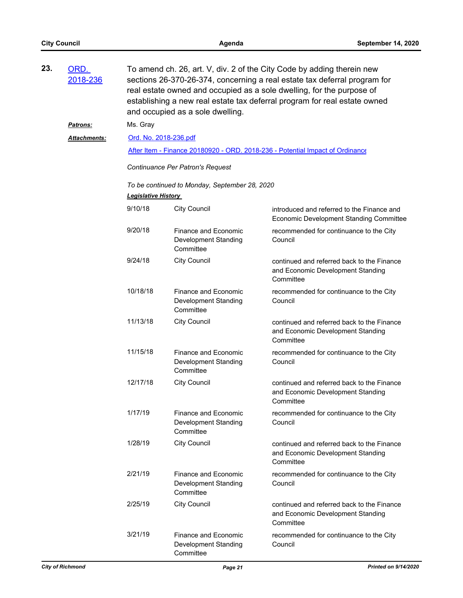| 23. | ORD.<br>2018-236 | To amend ch. 26, art. V, div. 2 of the City Code by adding therein new<br>sections 26-370-26-374, concerning a real estate tax deferral program for<br>real estate owned and occupied as a sole dwelling, for the purpose of<br>establishing a new real estate tax deferral program for real estate owned<br>and occupied as a sole dwelling. |                                                                  |                                                                                              |  |  |  |
|-----|------------------|-----------------------------------------------------------------------------------------------------------------------------------------------------------------------------------------------------------------------------------------------------------------------------------------------------------------------------------------------|------------------------------------------------------------------|----------------------------------------------------------------------------------------------|--|--|--|
|     | <b>Patrons:</b>  | Ms. Gray                                                                                                                                                                                                                                                                                                                                      |                                                                  |                                                                                              |  |  |  |
|     | Attachments:     | Ord. No. 2018-236.pdf                                                                                                                                                                                                                                                                                                                         |                                                                  |                                                                                              |  |  |  |
|     |                  |                                                                                                                                                                                                                                                                                                                                               |                                                                  | After Item - Finance 20180920 - ORD. 2018-236 - Potential Impact of Ordinance                |  |  |  |
|     |                  | Continuance Per Patron's Request                                                                                                                                                                                                                                                                                                              |                                                                  |                                                                                              |  |  |  |
|     |                  | To be continued to Monday, September 28, 2020<br><b>Legislative History</b>                                                                                                                                                                                                                                                                   |                                                                  |                                                                                              |  |  |  |
|     |                  | 9/10/18                                                                                                                                                                                                                                                                                                                                       | <b>City Council</b>                                              | introduced and referred to the Finance and<br><b>Economic Development Standing Committee</b> |  |  |  |
|     |                  | 9/20/18                                                                                                                                                                                                                                                                                                                                       | Finance and Economic<br>Development Standing<br>Committee        | recommended for continuance to the City<br>Council                                           |  |  |  |
|     |                  | 9/24/18                                                                                                                                                                                                                                                                                                                                       | <b>City Council</b>                                              | continued and referred back to the Finance<br>and Economic Development Standing<br>Committee |  |  |  |
|     |                  | 10/18/18                                                                                                                                                                                                                                                                                                                                      | <b>Finance and Economic</b><br>Development Standing<br>Committee | recommended for continuance to the City<br>Council                                           |  |  |  |
|     |                  | 11/13/18                                                                                                                                                                                                                                                                                                                                      | <b>City Council</b>                                              | continued and referred back to the Finance<br>and Economic Development Standing<br>Committee |  |  |  |
|     |                  | 11/15/18                                                                                                                                                                                                                                                                                                                                      | Finance and Economic<br>Development Standing<br>Committee        | recommended for continuance to the City<br>Council                                           |  |  |  |
|     |                  | 12/17/18                                                                                                                                                                                                                                                                                                                                      | <b>City Council</b>                                              | continued and referred back to the Finance<br>and Economic Development Standing<br>Committee |  |  |  |
|     |                  | 1/17/19                                                                                                                                                                                                                                                                                                                                       | Finance and Economic<br>Development Standing<br>Committee        | recommended for continuance to the City<br>Council                                           |  |  |  |
|     |                  | 1/28/19                                                                                                                                                                                                                                                                                                                                       | <b>City Council</b>                                              | continued and referred back to the Finance<br>and Economic Development Standing<br>Committee |  |  |  |
|     |                  | 2/21/19                                                                                                                                                                                                                                                                                                                                       | Finance and Economic<br><b>Development Standing</b><br>Committee | recommended for continuance to the City<br>Council                                           |  |  |  |
|     |                  | 2/25/19                                                                                                                                                                                                                                                                                                                                       | <b>City Council</b>                                              | continued and referred back to the Finance<br>and Economic Development Standing<br>Committee |  |  |  |
|     |                  | 3/21/19                                                                                                                                                                                                                                                                                                                                       | Finance and Economic<br>Development Standing<br>Committee        | recommended for continuance to the City<br>Council                                           |  |  |  |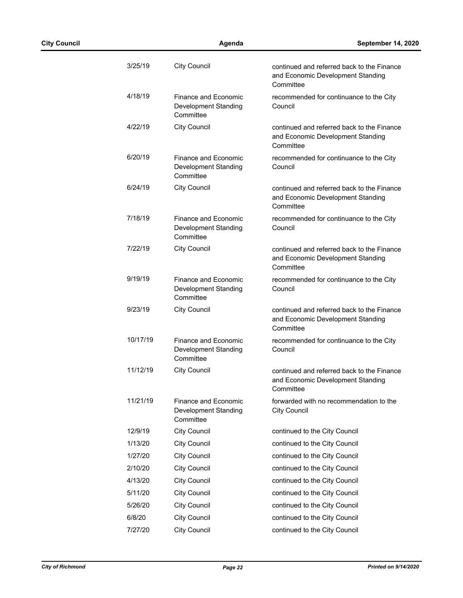| 3/25/19  | <b>City Council</b>                                              | continued and referred back to the Finance<br>and Economic Development Standing<br>Committee |
|----------|------------------------------------------------------------------|----------------------------------------------------------------------------------------------|
| 4/18/19  | <b>Finance and Economic</b><br>Development Standing<br>Committee | recommended for continuance to the City<br>Council                                           |
| 4/22/19  | <b>City Council</b>                                              | continued and referred back to the Finance<br>and Economic Development Standing<br>Committee |
| 6/20/19  | Finance and Economic<br>Development Standing<br>Committee        | recommended for continuance to the City<br>Council                                           |
| 6/24/19  | <b>City Council</b>                                              | continued and referred back to the Finance<br>and Economic Development Standing<br>Committee |
| 7/18/19  | Finance and Fconomic<br>Development Standing<br>Committee        | recommended for continuance to the City<br>Council                                           |
| 7/22/19  | <b>City Council</b>                                              | continued and referred back to the Finance<br>and Economic Development Standing<br>Committee |
| 9/19/19  | Finance and Economic<br>Development Standing<br>Committee        | recommended for continuance to the City<br>Council                                           |
| 9/23/19  | <b>City Council</b>                                              | continued and referred back to the Finance<br>and Economic Development Standing<br>Committee |
| 10/17/19 | Finance and Economic<br>Development Standing<br>Committee        | recommended for continuance to the City<br>Council                                           |
| 11/12/19 | <b>City Council</b>                                              | continued and referred back to the Finance<br>and Economic Development Standing<br>Committee |
| 11/21/19 | <b>Finance and Economic</b><br>Development Standing<br>Committee | forwarded with no recommendation to the<br><b>City Council</b>                               |
| 12/9/19  | <b>City Council</b>                                              | continued to the City Council                                                                |
| 1/13/20  | <b>City Council</b>                                              | continued to the City Council                                                                |
| 1/27/20  | <b>City Council</b>                                              | continued to the City Council                                                                |
| 2/10/20  | <b>City Council</b>                                              | continued to the City Council                                                                |
| 4/13/20  | <b>City Council</b>                                              | continued to the City Council                                                                |
| 5/11/20  | <b>City Council</b>                                              | continued to the City Council                                                                |
| 5/26/20  | <b>City Council</b>                                              | continued to the City Council                                                                |
| 6/8/20   | <b>City Council</b>                                              | continued to the City Council                                                                |
| 7/27/20  | <b>City Council</b>                                              | continued to the City Council                                                                |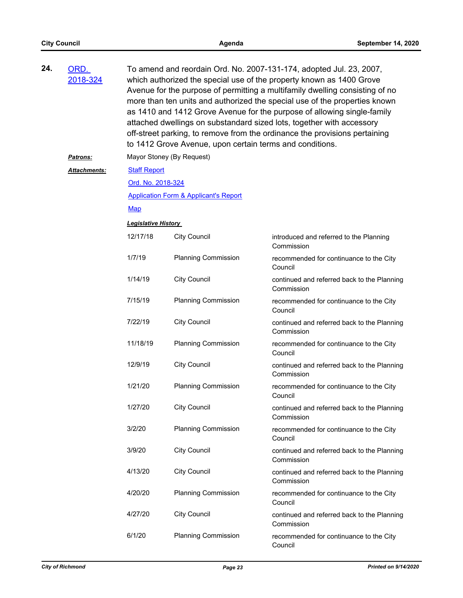| 24. | ORD.<br>2018-324 | To amend and reordain Ord. No. 2007-131-174, adopted Jul. 23, 2007,<br>which authorized the special use of the property known as 1400 Grove<br>Avenue for the purpose of permitting a multifamily dwelling consisting of no<br>more than ten units and authorized the special use of the properties known<br>as 1410 and 1412 Grove Avenue for the purpose of allowing single-family<br>attached dwellings on substandard sized lots, together with accessory<br>off-street parking, to remove from the ordinance the provisions pertaining<br>to 1412 Grove Avenue, upon certain terms and conditions. |                                                  |                                                           |  |  |
|-----|------------------|---------------------------------------------------------------------------------------------------------------------------------------------------------------------------------------------------------------------------------------------------------------------------------------------------------------------------------------------------------------------------------------------------------------------------------------------------------------------------------------------------------------------------------------------------------------------------------------------------------|--------------------------------------------------|-----------------------------------------------------------|--|--|
|     | <b>Patrons:</b>  | Mayor Stoney (By Request)                                                                                                                                                                                                                                                                                                                                                                                                                                                                                                                                                                               |                                                  |                                                           |  |  |
|     | Attachments:     | <b>Staff Report</b>                                                                                                                                                                                                                                                                                                                                                                                                                                                                                                                                                                                     |                                                  |                                                           |  |  |
|     |                  | Ord. No. 2018-324                                                                                                                                                                                                                                                                                                                                                                                                                                                                                                                                                                                       |                                                  |                                                           |  |  |
|     |                  |                                                                                                                                                                                                                                                                                                                                                                                                                                                                                                                                                                                                         | <b>Application Form &amp; Applicant's Report</b> |                                                           |  |  |
|     |                  | <b>Map</b>                                                                                                                                                                                                                                                                                                                                                                                                                                                                                                                                                                                              |                                                  |                                                           |  |  |
|     |                  | <b>Legislative History</b>                                                                                                                                                                                                                                                                                                                                                                                                                                                                                                                                                                              |                                                  |                                                           |  |  |
|     |                  | 12/17/18                                                                                                                                                                                                                                                                                                                                                                                                                                                                                                                                                                                                | <b>City Council</b>                              | introduced and referred to the Planning<br>Commission     |  |  |
|     |                  | 1/7/19                                                                                                                                                                                                                                                                                                                                                                                                                                                                                                                                                                                                  | <b>Planning Commission</b>                       | recommended for continuance to the City<br>Council        |  |  |
|     |                  | 1/14/19                                                                                                                                                                                                                                                                                                                                                                                                                                                                                                                                                                                                 | <b>City Council</b>                              | continued and referred back to the Planning<br>Commission |  |  |
|     |                  | 7/15/19                                                                                                                                                                                                                                                                                                                                                                                                                                                                                                                                                                                                 | <b>Planning Commission</b>                       | recommended for continuance to the City<br>Council        |  |  |
|     |                  | 7/22/19                                                                                                                                                                                                                                                                                                                                                                                                                                                                                                                                                                                                 | <b>City Council</b>                              | continued and referred back to the Planning<br>Commission |  |  |
|     |                  | 11/18/19                                                                                                                                                                                                                                                                                                                                                                                                                                                                                                                                                                                                | <b>Planning Commission</b>                       | recommended for continuance to the City<br>Council        |  |  |
|     |                  | 12/9/19                                                                                                                                                                                                                                                                                                                                                                                                                                                                                                                                                                                                 | <b>City Council</b>                              | continued and referred back to the Planning<br>Commission |  |  |
|     |                  | 1/21/20                                                                                                                                                                                                                                                                                                                                                                                                                                                                                                                                                                                                 | <b>Planning Commission</b>                       | recommended for continuance to the City<br>Council        |  |  |
|     |                  | 1/27/20                                                                                                                                                                                                                                                                                                                                                                                                                                                                                                                                                                                                 | <b>City Council</b>                              | continued and referred back to the Planning<br>Commission |  |  |
|     |                  | 3/2/20                                                                                                                                                                                                                                                                                                                                                                                                                                                                                                                                                                                                  | <b>Planning Commission</b>                       | recommended for continuance to the City<br>Council        |  |  |
|     |                  | 3/9/20                                                                                                                                                                                                                                                                                                                                                                                                                                                                                                                                                                                                  | <b>City Council</b>                              | continued and referred back to the Planning<br>Commission |  |  |
|     |                  | 4/13/20                                                                                                                                                                                                                                                                                                                                                                                                                                                                                                                                                                                                 | <b>City Council</b>                              | continued and referred back to the Planning<br>Commission |  |  |
|     |                  | 4/20/20                                                                                                                                                                                                                                                                                                                                                                                                                                                                                                                                                                                                 | <b>Planning Commission</b>                       | recommended for continuance to the City<br>Council        |  |  |
|     |                  | 4/27/20                                                                                                                                                                                                                                                                                                                                                                                                                                                                                                                                                                                                 | <b>City Council</b>                              | continued and referred back to the Planning<br>Commission |  |  |
|     |                  | 6/1/20                                                                                                                                                                                                                                                                                                                                                                                                                                                                                                                                                                                                  | <b>Planning Commission</b>                       | recommended for continuance to the City<br>Council        |  |  |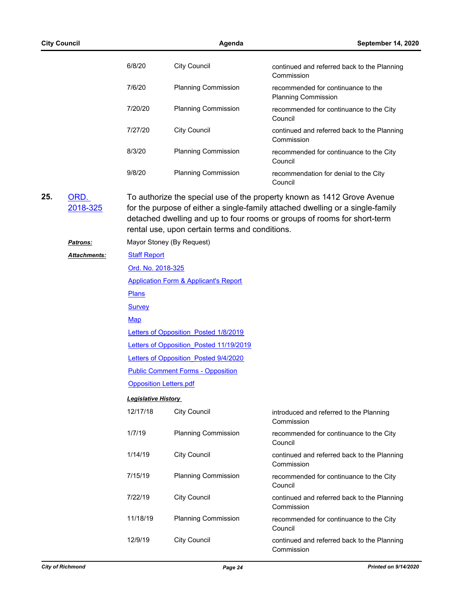| <b>City Council</b> |                     | Agenda                     |                                                  | September 14, 2020                                                                                                                                                                                                                    |  |  |  |
|---------------------|---------------------|----------------------------|--------------------------------------------------|---------------------------------------------------------------------------------------------------------------------------------------------------------------------------------------------------------------------------------------|--|--|--|
|                     |                     | 6/8/20                     | <b>City Council</b>                              | continued and referred back to the Planning<br>Commission                                                                                                                                                                             |  |  |  |
|                     |                     | 7/6/20                     | <b>Planning Commission</b>                       | recommended for continuance to the<br><b>Planning Commission</b>                                                                                                                                                                      |  |  |  |
|                     |                     | 7/20/20                    | <b>Planning Commission</b>                       | recommended for continuance to the City<br>Council                                                                                                                                                                                    |  |  |  |
|                     |                     | 7/27/20                    | <b>City Council</b>                              | continued and referred back to the Planning<br>Commission                                                                                                                                                                             |  |  |  |
|                     |                     | 8/3/20                     | <b>Planning Commission</b>                       | recommended for continuance to the City<br>Council                                                                                                                                                                                    |  |  |  |
|                     |                     | 9/8/20                     | <b>Planning Commission</b>                       | recommendation for denial to the City<br>Council                                                                                                                                                                                      |  |  |  |
| 25.                 | ORD.<br>2018-325    |                            | rental use, upon certain terms and conditions.   | To authorize the special use of the property known as 1412 Grove Avenue<br>for the purpose of either a single-family attached dwelling or a single-family<br>detached dwelling and up to four rooms or groups of rooms for short-term |  |  |  |
|                     | Patrons:            |                            | Mayor Stoney (By Request)                        |                                                                                                                                                                                                                                       |  |  |  |
|                     | <b>Attachments:</b> | <b>Staff Report</b>        |                                                  |                                                                                                                                                                                                                                       |  |  |  |
|                     |                     | <u>Ord. No. 2018-325</u>   |                                                  |                                                                                                                                                                                                                                       |  |  |  |
|                     |                     |                            | <b>Application Form &amp; Applicant's Report</b> |                                                                                                                                                                                                                                       |  |  |  |
|                     |                     | <b>Plans</b>               |                                                  |                                                                                                                                                                                                                                       |  |  |  |
|                     |                     | <b>Survey</b>              |                                                  |                                                                                                                                                                                                                                       |  |  |  |
|                     |                     | Map                        |                                                  |                                                                                                                                                                                                                                       |  |  |  |
|                     |                     |                            | Letters of Opposition Posted 1/8/2019            |                                                                                                                                                                                                                                       |  |  |  |
|                     |                     |                            | Letters of Opposition Posted 11/19/2019          |                                                                                                                                                                                                                                       |  |  |  |
|                     |                     |                            | Letters of Opposition Posted 9/4/2020            |                                                                                                                                                                                                                                       |  |  |  |
|                     |                     |                            | <b>Public Comment Forms - Opposition</b>         |                                                                                                                                                                                                                                       |  |  |  |
|                     |                     |                            | <b>Opposition Letters.pdf</b>                    |                                                                                                                                                                                                                                       |  |  |  |
|                     |                     | <b>Legislative History</b> |                                                  |                                                                                                                                                                                                                                       |  |  |  |
|                     |                     | 12/17/18                   | <b>City Council</b>                              | introduced and referred to the Planning<br>Commission                                                                                                                                                                                 |  |  |  |
|                     |                     | 1/7/19                     | <b>Planning Commission</b>                       | recommended for continuance to the City<br>Council                                                                                                                                                                                    |  |  |  |
|                     |                     | 1/14/19                    | <b>City Council</b>                              | continued and referred back to the Planning<br>Commission                                                                                                                                                                             |  |  |  |
|                     |                     | 7/15/19                    | <b>Planning Commission</b>                       | recommended for continuance to the City<br>Council                                                                                                                                                                                    |  |  |  |
|                     |                     | 7/22/19                    | <b>City Council</b>                              | continued and referred back to the Planning<br>Commission                                                                                                                                                                             |  |  |  |
|                     |                     | 11/18/19                   | <b>Planning Commission</b>                       | recommended for continuance to the City<br>Council                                                                                                                                                                                    |  |  |  |
|                     |                     | 12/9/19                    | <b>City Council</b>                              | continued and referred back to the Planning<br>Commission                                                                                                                                                                             |  |  |  |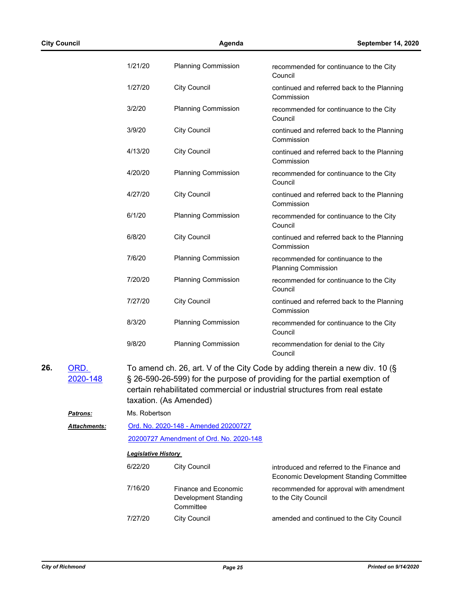|     | <b>City Council</b> |                            | Agenda                                                           | September 14, 2020                                                                                                                                                                                                                      |
|-----|---------------------|----------------------------|------------------------------------------------------------------|-----------------------------------------------------------------------------------------------------------------------------------------------------------------------------------------------------------------------------------------|
|     |                     | 1/21/20                    | <b>Planning Commission</b>                                       | recommended for continuance to the City<br>Council                                                                                                                                                                                      |
|     |                     | 1/27/20                    | <b>City Council</b>                                              | continued and referred back to the Planning<br>Commission                                                                                                                                                                               |
|     |                     | 3/2/20                     | <b>Planning Commission</b>                                       | recommended for continuance to the City<br>Council                                                                                                                                                                                      |
|     |                     | 3/9/20                     | <b>City Council</b>                                              | continued and referred back to the Planning<br>Commission                                                                                                                                                                               |
|     |                     | 4/13/20                    | <b>City Council</b>                                              | continued and referred back to the Planning<br>Commission                                                                                                                                                                               |
|     |                     | 4/20/20                    | <b>Planning Commission</b>                                       | recommended for continuance to the City<br>Council                                                                                                                                                                                      |
|     |                     | 4/27/20                    | <b>City Council</b>                                              | continued and referred back to the Planning<br>Commission                                                                                                                                                                               |
|     |                     | 6/1/20                     | <b>Planning Commission</b>                                       | recommended for continuance to the City<br>Council                                                                                                                                                                                      |
|     |                     | 6/8/20                     | <b>City Council</b>                                              | continued and referred back to the Planning<br>Commission                                                                                                                                                                               |
|     |                     | 7/6/20                     | <b>Planning Commission</b>                                       | recommended for continuance to the<br><b>Planning Commission</b>                                                                                                                                                                        |
|     |                     | 7/20/20                    | <b>Planning Commission</b>                                       | recommended for continuance to the City<br>Council                                                                                                                                                                                      |
|     |                     | 7/27/20                    | <b>City Council</b>                                              | continued and referred back to the Planning<br>Commission                                                                                                                                                                               |
|     |                     | 8/3/20                     | <b>Planning Commission</b>                                       | recommended for continuance to the City<br>Council                                                                                                                                                                                      |
|     |                     | 9/8/20                     | <b>Planning Commission</b>                                       | recommendation for denial to the City<br>Council                                                                                                                                                                                        |
| 26. | ORD.<br>2020-148    |                            | taxation. (As Amended)                                           | To amend ch. 26, art. V of the City Code by adding therein a new div. 10 (§<br>§ 26-590-26-599) for the purpose of providing for the partial exemption of<br>certain rehabilitated commercial or industrial structures from real estate |
|     | <u>Patrons:</u>     | Ms. Robertson              |                                                                  |                                                                                                                                                                                                                                         |
|     | <b>Attachments:</b> |                            | Ord. No. 2020-148 - Amended 20200727                             |                                                                                                                                                                                                                                         |
|     |                     |                            | 20200727 Amendment of Ord. No. 2020-148                          |                                                                                                                                                                                                                                         |
|     |                     | <b>Legislative History</b> |                                                                  |                                                                                                                                                                                                                                         |
|     |                     | 6/22/20                    | <b>City Council</b>                                              | introduced and referred to the Finance and<br>Economic Development Standing Committee                                                                                                                                                   |
|     |                     | 7/16/20                    | <b>Finance and Economic</b><br>Development Standing<br>Committee | recommended for approval with amendment<br>to the City Council                                                                                                                                                                          |
|     |                     | 7/27/20                    | <b>City Council</b>                                              | amended and continued to the City Council                                                                                                                                                                                               |